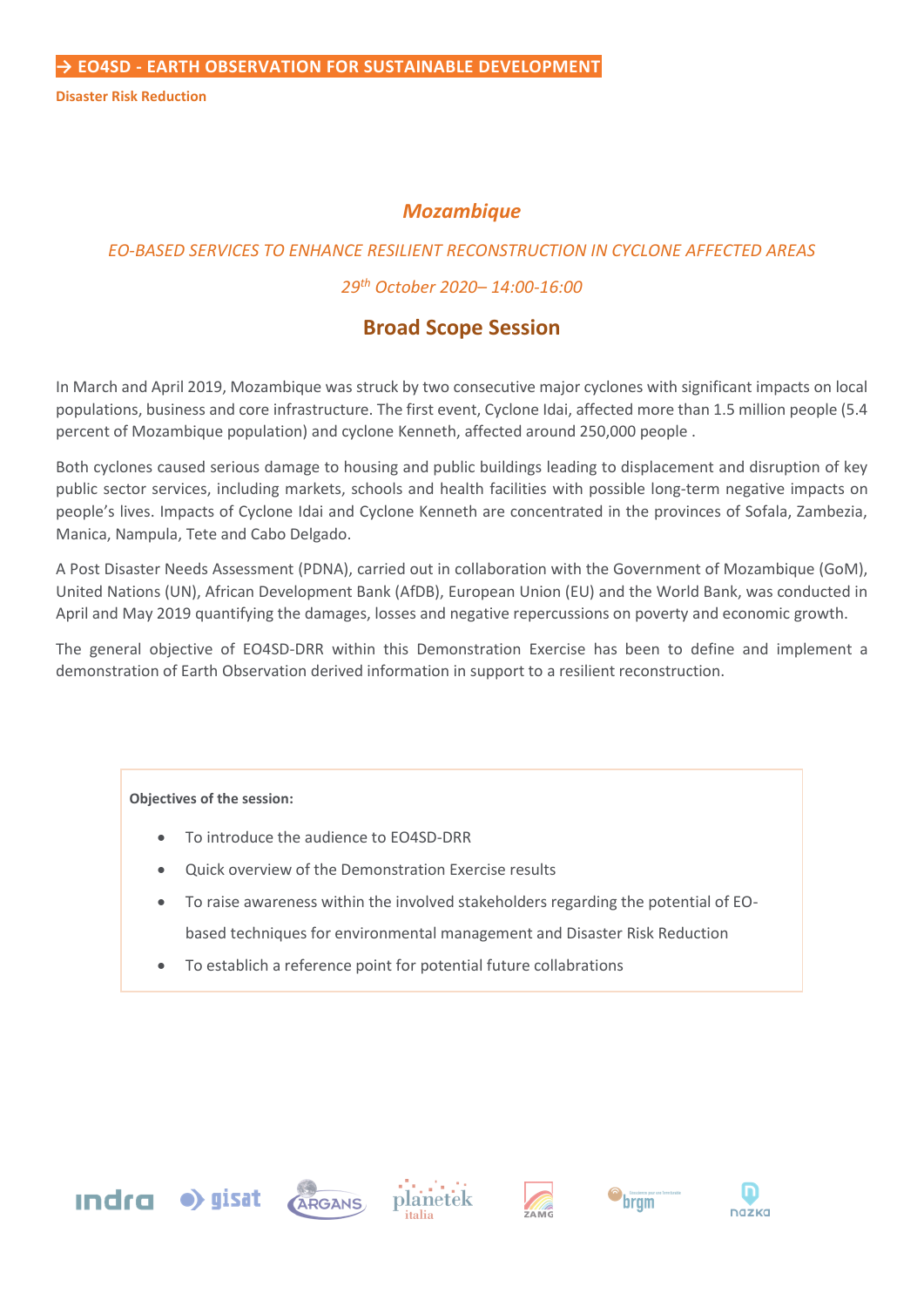**Disaster Risk Reduction**

# *Mozambique*

# *EO-BASED SERVICES TO ENHANCE RESILIENT RECONSTRUCTION IN CYCLONE AFFECTED AREAS*

## *29th October 2020– 14:00-16:00*

# **Broad Scope Session**

In March and April 2019, Mozambique was struck by two consecutive major cyclones with significant impacts on local populations, business and core infrastructure. The first event, Cyclone Idai, affected more than 1.5 million people (5.4 percent of Mozambique population) and cyclone Kenneth, affected around 250,000 people .

Both cyclones caused serious damage to housing and public buildings leading to displacement and disruption of key public sector services, including markets, schools and health facilities with possible long-term negative impacts on people's lives. Impacts of Cyclone Idai and Cyclone Kenneth are concentrated in the provinces of Sofala, Zambezia, Manica, Nampula, Tete and Cabo Delgado.

A Post Disaster Needs Assessment (PDNA), carried out in collaboration with the Government of Mozambique (GoM), United Nations (UN), African Development Bank (AfDB), European Union (EU) and the World Bank, was conducted in April and May 2019 quantifying the damages, losses and negative repercussions on poverty and economic growth.

The general objective of EO4SD-DRR within this Demonstration Exercise has been to define and implement a demonstration of Earth Observation derived information in support to a resilient reconstruction.

#### **Objectives of the session:**

- To introduce the audience to EO4SD-DRR
- Quick overview of the Demonstration Exercise results
- To raise awareness within the involved stakeholders regarding the potential of EObased techniques for environmental management and Disaster Risk Reduction
- To establich a reference point for potential future collabrations